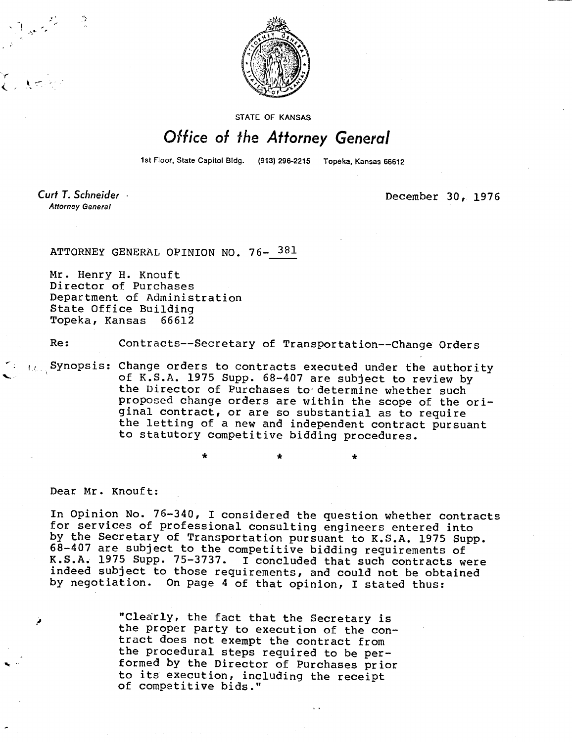

**STATE OF KANSAS** 

## Office of the Attorney General

1st Floor, State Capitol Bldg. (913) 296-2215 Topeka, Kansas 66612

Curt T. Schneider **Attorney General** 

December 30, 1976

ATTORNEY GENERAL OPINION NO. 76- 381

Mr. Henry H. Knouft Director of Purchases Department of Administration State Office Building Topeka, Kansas 66612

Re: Contracts--Secretary of Transportation--Change Orders

 $\alpha$ . Synopsis: Change orders to contracts executed under the authority of K.S.A. 1975 Supp. 68-407 are subject to review by the Director of Purchases to determine whether such proposed change orders are within the scope of the original contract, or are so substantial as to require the letting of a new and independent contract pursuant to statutory competitive bidding procedures.

Dear Mr. Knouft:

In Opinion No. 76-340, I considered the question whether contracts for services of professional consulting engineers entered into by the Secretary of Transportation pursuant to K.S.A. 1975 Supp. 68-407 are subject to the competitive bidding requirements of K.S.A. 1975 Supp. 75-3737. I concluded that such contracts were indeed subject to those requirements, and could not be obtained by negotiation. On page 4 of that opinion, I stated thus:

> "Clearly, the fact that the Secretary is the proper party to execution of the contract does not exempt the contract from the procedural steps required to be performed by the Director of Purchases prior to its execution, including the receipt of competitive bids."